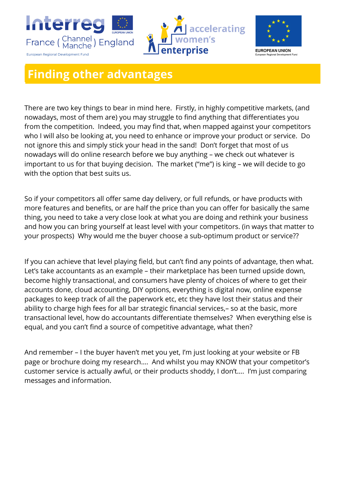





## **Finding other advantages**

There are two key things to bear in mind here. Firstly, in highly competitive markets, (and nowadays, most of them are) you may struggle to find anything that differentiates you from the competition. Indeed, you may find that, when mapped against your competitors who I will also be looking at, you need to enhance or improve your product or service. Do not ignore this and simply stick your head in the sand! Don't forget that most of us nowadays will do online research before we buy anything – we check out whatever is important to us for that buying decision. The market ("me") is king – we will decide to go with the option that best suits us.

So if your competitors all offer same day delivery, or full refunds, or have products with more features and benefits, or are half the price than you can offer for basically the same thing, you need to take a very close look at what you are doing and rethink your business and how you can bring yourself at least level with your competitors. (in ways that matter to your prospects) Why would me the buyer choose a sub-optimum product or service??

If you can achieve that level playing field, but can't find any points of advantage, then what. Let's take accountants as an example – their marketplace has been turned upside down, become highly transactional, and consumers have plenty of choices of where to get their accounts done, cloud accounting, DIY options, everything is digital now, online expense packages to keep track of all the paperwork etc, etc they have lost their status and their ability to charge high fees for all bar strategic financial services,– so at the basic, more transactional level, how do accountants differentiate themselves? When everything else is equal, and you can't find a source of competitive advantage, what then?

And remember – I the buyer haven't met you yet, I'm just looking at your website or FB page or brochure doing my research…. And whilst you may KNOW that your competitor's customer service is actually awful, or their products shoddy, I don't…. I'm just comparing messages and information.